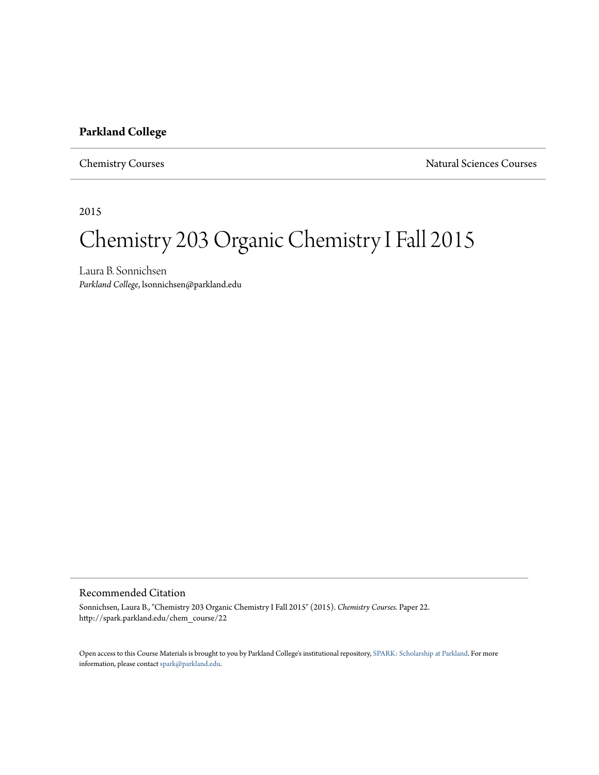## **Parkland College**

Chemistry Courses Natural Sciences Courses

2015

## Chemistry 203 Organic Chemistry I Fall 2015

Laura B. Sonnichsen *Parkland College*, lsonnichsen@parkland.edu

## Recommended Citation

Sonnichsen, Laura B., "Chemistry 203 Organic Chemistry I Fall 2015" (2015). *Chemistry Courses.* Paper 22. http://spark.parkland.edu/chem\_course/22

Open access to this Course Materials is brought to you by Parkland College's institutional repository, [SPARK: Scholarship at Parkland](http://spark.parkland.edu/). For more information, please contact [spark@parkland.edu](mailto:spark@parkland.edu).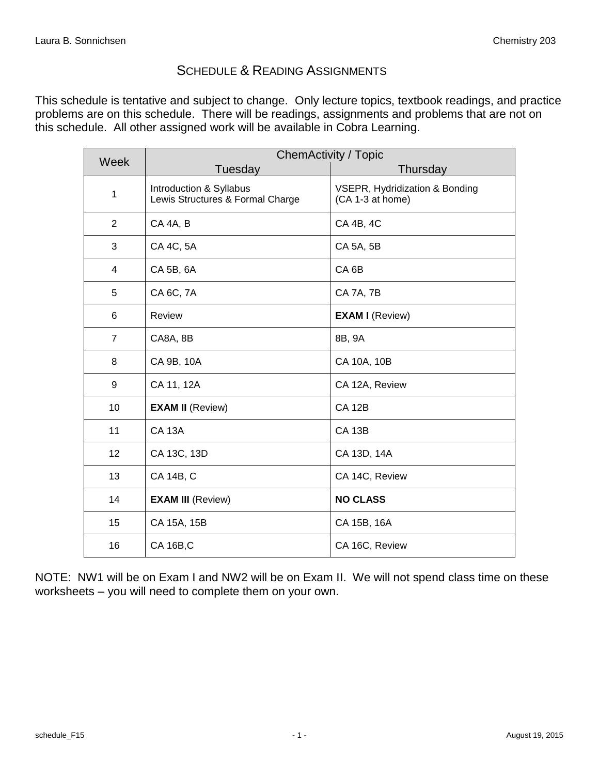## SCHEDULE & READING ASSIGNMENTS

This schedule is tentative and subject to change. Only lecture topics, textbook readings, and practice problems are on this schedule. There will be readings, assignments and problems that are not on this schedule. All other assigned work will be available in Cobra Learning.

| Week           | <b>ChemActivity / Topic</b>                                 |                                                    |  |
|----------------|-------------------------------------------------------------|----------------------------------------------------|--|
|                | Tuesday                                                     | Thursday                                           |  |
| $\mathbf{1}$   | Introduction & Syllabus<br>Lewis Structures & Formal Charge | VSEPR, Hydridization & Bonding<br>(CA 1-3 at home) |  |
| 2              | CA 4A, B                                                    | CA 4B, 4C                                          |  |
| 3              | CA 4C, 5A                                                   | CA 5A, 5B                                          |  |
| $\overline{4}$ | CA 5B, 6A                                                   | CA <sub>6B</sub>                                   |  |
| 5              | CA 6C, 7A                                                   | <b>CA 7A, 7B</b>                                   |  |
| 6              | Review                                                      | <b>EXAM I (Review)</b>                             |  |
| $\overline{7}$ | CA8A, 8B                                                    | 8B, 9A                                             |  |
| 8              | CA 9B, 10A                                                  | CA 10A, 10B                                        |  |
| 9              | CA 11, 12A                                                  | CA 12A, Review                                     |  |
| 10             | <b>EXAM II (Review)</b>                                     | <b>CA 12B</b>                                      |  |
| 11             | <b>CA 13A</b>                                               | <b>CA 13B</b>                                      |  |
| 12             | CA 13C, 13D                                                 | CA 13D, 14A                                        |  |
| 13             | CA 14B, C                                                   | CA 14C, Review                                     |  |
| 14             | <b>EXAM III (Review)</b>                                    | <b>NO CLASS</b>                                    |  |
| 15             | CA 15A, 15B                                                 | CA 15B, 16A                                        |  |
| 16             | <b>CA 16B,C</b>                                             | CA 16C, Review                                     |  |

NOTE: NW1 will be on Exam I and NW2 will be on Exam II. We will not spend class time on these worksheets – you will need to complete them on your own.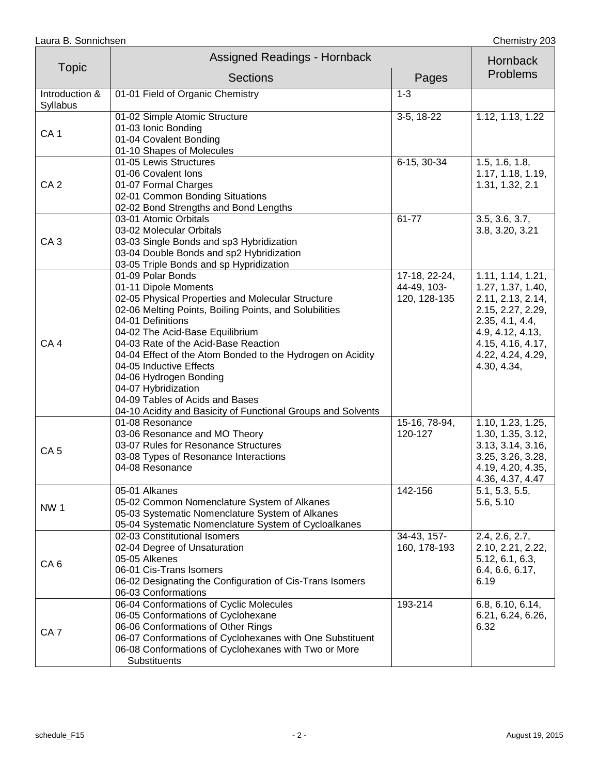|                            | <b>Assigned Readings - Hornback</b>                                                                                                                                                                                                                                                                                                                                                                                                                                                                   |                                              | Hornback                                                                                                                                                                         |
|----------------------------|-------------------------------------------------------------------------------------------------------------------------------------------------------------------------------------------------------------------------------------------------------------------------------------------------------------------------------------------------------------------------------------------------------------------------------------------------------------------------------------------------------|----------------------------------------------|----------------------------------------------------------------------------------------------------------------------------------------------------------------------------------|
| <b>Topic</b>               | <b>Sections</b>                                                                                                                                                                                                                                                                                                                                                                                                                                                                                       | Pages                                        | <b>Problems</b>                                                                                                                                                                  |
| Introduction &<br>Syllabus | 01-01 Field of Organic Chemistry                                                                                                                                                                                                                                                                                                                                                                                                                                                                      | $1 - 3$                                      |                                                                                                                                                                                  |
| CA <sub>1</sub>            | 01-02 Simple Atomic Structure<br>01-03 Ionic Bonding<br>01-04 Covalent Bonding<br>01-10 Shapes of Molecules                                                                                                                                                                                                                                                                                                                                                                                           | 3-5, 18-22                                   | 1.12, 1.13, 1.22                                                                                                                                                                 |
| CA <sub>2</sub>            | 01-05 Lewis Structures<br>01-06 Covalent Ions<br>01-07 Formal Charges<br>02-01 Common Bonding Situations<br>02-02 Bond Strengths and Bond Lengths                                                                                                                                                                                                                                                                                                                                                     | 6-15, 30-34                                  | 1.5, 1.6, 1.8,<br>1.17, 1.18, 1.19,<br>1.31, 1.32, 2.1                                                                                                                           |
| CA <sub>3</sub>            | 03-01 Atomic Orbitals<br>03-02 Molecular Orbitals<br>03-03 Single Bonds and sp3 Hybridization<br>03-04 Double Bonds and sp2 Hybridization<br>03-05 Triple Bonds and sp Hypridization                                                                                                                                                                                                                                                                                                                  | 61-77                                        | 3.5, 3.6, 3.7,<br>3.8, 3.20, 3.21                                                                                                                                                |
| CA <sub>4</sub>            | 01-09 Polar Bonds<br>01-11 Dipole Moments<br>02-05 Physical Properties and Molecular Structure<br>02-06 Melting Points, Boiling Points, and Solubilities<br>04-01 Definitions<br>04-02 The Acid-Base Equilibrium<br>04-03 Rate of the Acid-Base Reaction<br>04-04 Effect of the Atom Bonded to the Hydrogen on Acidity<br>04-05 Inductive Effects<br>04-06 Hydrogen Bonding<br>04-07 Hybridization<br>04-09 Tables of Acids and Bases<br>04-10 Acidity and Basicity of Functional Groups and Solvents | 17-18, 22-24,<br>44-49, 103-<br>120, 128-135 | 1.11, 1.14, 1.21,<br>1.27, 1.37, 1.40,<br>2.11, 2.13, 2.14,<br>2.15, 2.27, 2.29,<br>2.35, 4.1, 4.4,<br>4.9, 4.12, 4.13,<br>4.15, 4.16, 4.17,<br>4.22, 4.24, 4.29,<br>4.30, 4.34, |
| CA <sub>5</sub>            | 01-08 Resonance<br>03-06 Resonance and MO Theory<br>03-07 Rules for Resonance Structures<br>03-08 Types of Resonance Interactions<br>04-08 Resonance                                                                                                                                                                                                                                                                                                                                                  | 15-16, 78-94,<br>120-127                     | 1.10, 1.23, 1.25,<br>1.30, 1.35, 3.12,<br>3.13, 3.14, 3.16,<br>3.25, 3.26, 3.28,<br>4.19, 4.20, 4.35,<br>4.36, 4.37, 4.47                                                        |
| <b>NW1</b>                 | 05-01 Alkanes<br>05-02 Common Nomenclature System of Alkanes<br>05-03 Systematic Nomenclature System of Alkanes<br>05-04 Systematic Nomenclature System of Cycloalkanes                                                                                                                                                                                                                                                                                                                               | 142-156                                      | 5.1, 5.3, 5.5,<br>5.6, 5.10                                                                                                                                                      |
| CA <sub>6</sub>            | 02-03 Constitutional Isomers<br>02-04 Degree of Unsaturation<br>05-05 Alkenes<br>06-01 Cis-Trans Isomers<br>06-02 Designating the Configuration of Cis-Trans Isomers<br>06-03 Conformations                                                                                                                                                                                                                                                                                                           | 34-43, 157-<br>160, 178-193                  | 2.4, 2.6, 2.7,<br>2.10, 2.21, 2.22,<br>5.12, 6.1, 6.3,<br>6.4, 6.6, 6.17,<br>6.19                                                                                                |
| CA <sub>7</sub>            | 06-04 Conformations of Cyclic Molecules<br>06-05 Conformations of Cyclohexane<br>06-06 Conformations of Other Rings<br>06-07 Conformations of Cyclohexanes with One Substituent<br>06-08 Conformations of Cyclohexanes with Two or More<br>Substituents                                                                                                                                                                                                                                               | 193-214                                      | 6.8, 6.10, 6.14,<br>6.21, 6.24, 6.26,<br>6.32                                                                                                                                    |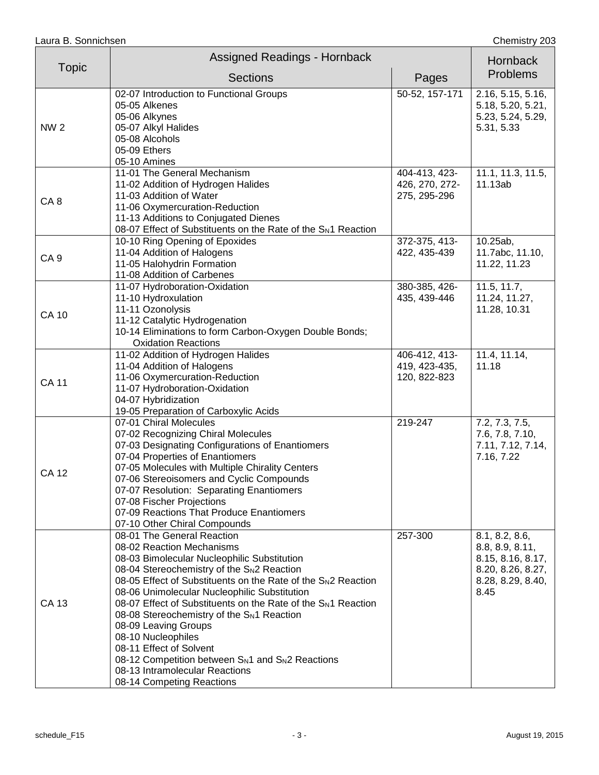|                 | <b>Assigned Readings - Hornback</b>                                                                                                                                                                                                                                                                                                                                                                                                                                                                                                                                                                                                       |                                                 | Hornback                                                                                                 |
|-----------------|-------------------------------------------------------------------------------------------------------------------------------------------------------------------------------------------------------------------------------------------------------------------------------------------------------------------------------------------------------------------------------------------------------------------------------------------------------------------------------------------------------------------------------------------------------------------------------------------------------------------------------------------|-------------------------------------------------|----------------------------------------------------------------------------------------------------------|
| <b>Topic</b>    | <b>Sections</b>                                                                                                                                                                                                                                                                                                                                                                                                                                                                                                                                                                                                                           | Pages                                           | <b>Problems</b>                                                                                          |
| <b>NW2</b>      | 02-07 Introduction to Functional Groups<br>05-05 Alkenes<br>05-06 Alkynes<br>05-07 Alkyl Halides<br>05-08 Alcohols<br>05-09 Ethers<br>05-10 Amines                                                                                                                                                                                                                                                                                                                                                                                                                                                                                        | 50-52, 157-171                                  | 2.16, 5.15, 5.16,<br>5.18, 5.20, 5.21,<br>5.23, 5.24, 5.29,<br>5.31, 5.33                                |
| CA <sub>8</sub> | 11-01 The General Mechanism<br>11-02 Addition of Hydrogen Halides<br>11-03 Addition of Water<br>11-06 Oxymercuration-Reduction<br>11-13 Additions to Conjugated Dienes<br>08-07 Effect of Substituents on the Rate of the S <sub>N</sub> 1 Reaction                                                                                                                                                                                                                                                                                                                                                                                       | 404-413, 423-<br>426, 270, 272-<br>275, 295-296 | 11.1, 11.3, 11.5,<br>11.13ab                                                                             |
| CA <sub>9</sub> | 10-10 Ring Opening of Epoxides<br>11-04 Addition of Halogens<br>11-05 Halohydrin Formation<br>11-08 Addition of Carbenes                                                                                                                                                                                                                                                                                                                                                                                                                                                                                                                  | 372-375, 413-<br>422, 435-439                   | 10.25ab,<br>11.7abc, 11.10,<br>11.22, 11.23                                                              |
| <b>CA 10</b>    | 11-07 Hydroboration-Oxidation<br>11-10 Hydroxulation<br>11-11 Ozonolysis<br>11-12 Catalytic Hydrogenation<br>10-14 Eliminations to form Carbon-Oxygen Double Bonds;<br><b>Oxidation Reactions</b>                                                                                                                                                                                                                                                                                                                                                                                                                                         | 380-385, 426-<br>435, 439-446                   | 11.5, 11.7,<br>11.24, 11.27,<br>11.28, 10.31                                                             |
| <b>CA 11</b>    | 11-02 Addition of Hydrogen Halides<br>11-04 Addition of Halogens<br>11-06 Oxymercuration-Reduction<br>11-07 Hydroboration-Oxidation<br>04-07 Hybridization<br>19-05 Preparation of Carboxylic Acids                                                                                                                                                                                                                                                                                                                                                                                                                                       | 406-412, 413-<br>419, 423-435,<br>120, 822-823  | $11.4, \overline{11.14,}$<br>11.18                                                                       |
| <b>CA 12</b>    | 07-01 Chiral Molecules<br>07-02 Recognizing Chiral Molecules<br>07-03 Designating Configurations of Enantiomers<br>07-04 Properties of Enantiomers<br>07-05 Molecules with Multiple Chirality Centers<br>07-06 Stereoisomers and Cyclic Compounds<br>07-07 Resolution: Separating Enantiomers<br>07-08 Fischer Projections<br>07-09 Reactions That Produce Enantiomers<br>07-10 Other Chiral Compounds                                                                                                                                                                                                                                    | 219-247                                         | 7.2, 7.3, 7.5,<br>7.6, 7.8, 7.10,<br>7.11, 7.12, 7.14,<br>7.16, 7.22                                     |
| CA 13           | 08-01 The General Reaction<br>08-02 Reaction Mechanisms<br>08-03 Bimolecular Nucleophilic Substitution<br>08-04 Stereochemistry of the S <sub>N</sub> 2 Reaction<br>08-05 Effect of Substituents on the Rate of the SN2 Reaction<br>08-06 Unimolecular Nucleophilic Substitution<br>08-07 Effect of Substituents on the Rate of the S <sub>N</sub> 1 Reaction<br>08-08 Stereochemistry of the S <sub>N1</sub> Reaction<br>08-09 Leaving Groups<br>08-10 Nucleophiles<br>08-11 Effect of Solvent<br>08-12 Competition between S <sub>N1</sub> and S <sub>N2</sub> Reactions<br>08-13 Intramolecular Reactions<br>08-14 Competing Reactions | 257-300                                         | 8.1, 8.2, 8.6,<br>8.8, 8.9, 8.11,<br>8.15, 8.16, 8.17,<br>8.20, 8.26, 8.27,<br>8.28, 8.29, 8.40,<br>8.45 |